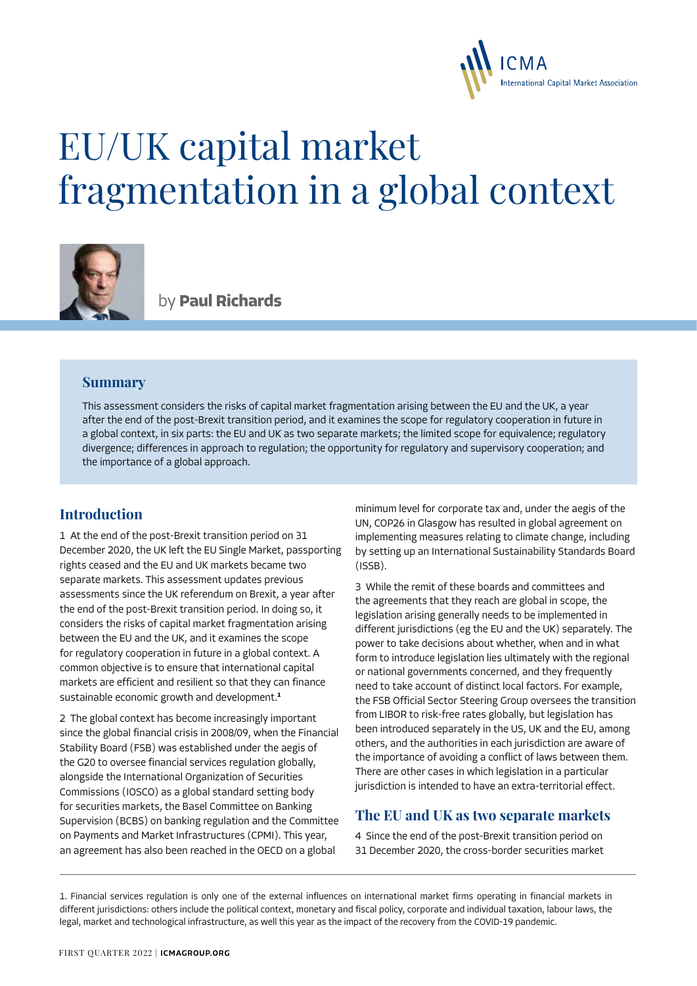

# EU/UK capital market fragmentation in a global context



by **Paul Richards**

#### **Summary**

This assessment considers the risks of capital market fragmentation arising between the EU and the UK, a year after the end of the post-Brexit transition period, and it examines the scope for regulatory cooperation in future in a global context, in six parts: the EU and UK as two separate markets; the limited scope for equivalence; regulatory divergence; differences in approach to regulation; the opportunity for regulatory and supervisory cooperation; and the importance of a global approach.

### **Introduction**

1 At the end of the post-Brexit transition period on 31 December 2020, the UK left the EU Single Market, passporting rights ceased and the EU and UK markets became two separate markets. This assessment updates previous assessments since the UK referendum on Brexit, a year after the end of the post-Brexit transition period. In doing so, it considers the risks of capital market fragmentation arising between the EU and the UK, and it examines the scope for regulatory cooperation in future in a global context. A common objective is to ensure that international capital markets are efficient and resilient so that they can finance sustainable economic growth and development.**<sup>1</sup>**

2 The global context has become increasingly important since the global financial crisis in 2008/09, when the Financial Stability Board (FSB) was established under the aegis of the G20 to oversee financial services regulation globally, alongside the International Organization of Securities Commissions (IOSCO) as a global standard setting body for securities markets, the Basel Committee on Banking Supervision (BCBS) on banking regulation and the Committee on Payments and Market Infrastructures (CPMI). This year, an agreement has also been reached in the OECD on a global

minimum level for corporate tax and, under the aegis of the UN, COP26 in Glasgow has resulted in global agreement on implementing measures relating to climate change, including by setting up an International Sustainability Standards Board (ISSB).

3 While the remit of these boards and committees and the agreements that they reach are global in scope, the legislation arising generally needs to be implemented in different jurisdictions (eg the EU and the UK) separately. The power to take decisions about whether, when and in what form to introduce legislation lies ultimately with the regional or national governments concerned, and they frequently need to take account of distinct local factors. For example, the FSB Official Sector Steering Group oversees the transition from LIBOR to risk-free rates globally, but legislation has been introduced separately in the US, UK and the EU, among others, and the authorities in each jurisdiction are aware of the importance of avoiding a conflict of laws between them. There are other cases in which legislation in a particular jurisdiction is intended to have an extra-territorial effect.

### **The EU and UK as two separate markets**

4 Since the end of the post-Brexit transition period on 31 December 2020, the cross-border securities market

1. Financial services regulation is only one of the external influences on international market firms operating in financial markets in different jurisdictions: others include the political context, monetary and fiscal policy, corporate and individual taxation, labour laws, the legal, market and technological infrastructure, as well this year as the impact of the recovery from the COVID-19 pandemic.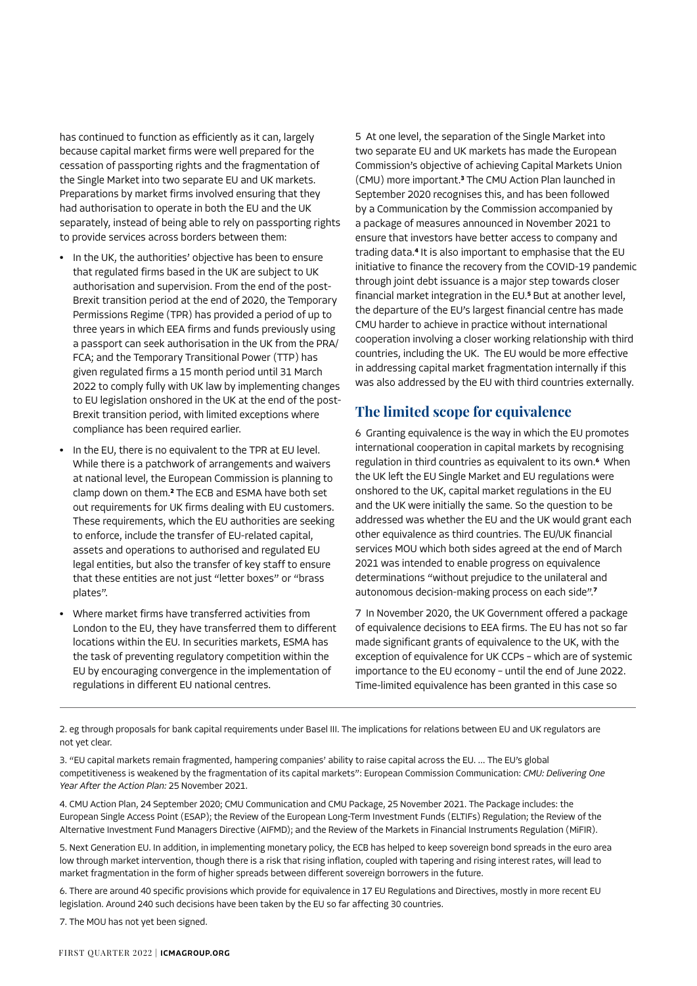has continued to function as efficiently as it can, largely because capital market firms were well prepared for the cessation of passporting rights and the fragmentation of the Single Market into two separate EU and UK markets. Preparations by market firms involved ensuring that they had authorisation to operate in both the EU and the UK separately, instead of being able to rely on passporting rights to provide services across borders between them:

- **•** In the UK, the authorities' objective has been to ensure that regulated firms based in the UK are subject to UK authorisation and supervision. From the end of the post-Brexit transition period at the end of 2020, the Temporary Permissions Regime (TPR) has provided a period of up to three years in which EEA firms and funds previously using a passport can seek authorisation in the UK from the PRA/ FCA; and the Temporary Transitional Power (TTP) has given regulated firms a 15 month period until 31 March 2022 to comply fully with UK law by implementing changes to EU legislation onshored in the UK at the end of the post-Brexit transition period, with limited exceptions where compliance has been required earlier.
- **•** In the EU, there is no equivalent to the TPR at EU level. While there is a patchwork of arrangements and waivers at national level, the European Commission is planning to clamp down on them.**<sup>2</sup>** The ECB and ESMA have both set out requirements for UK firms dealing with EU customers. These requirements, which the EU authorities are seeking to enforce, include the transfer of EU-related capital, assets and operations to authorised and regulated EU legal entities, but also the transfer of key staff to ensure that these entities are not just "letter boxes" or "brass plates".
- **•** Where market firms have transferred activities from London to the EU, they have transferred them to different locations within the EU. In securities markets, ESMA has the task of preventing regulatory competition within the EU by encouraging convergence in the implementation of regulations in different EU national centres.

5 At one level, the separation of the Single Market into two separate EU and UK markets has made the European Commission's objective of achieving Capital Markets Union (CMU) more important.**<sup>3</sup>** The CMU Action Plan launched in September 2020 recognises this, and has been followed by a Communication by the Commission accompanied by a package of measures announced in November 2021 to ensure that investors have better access to company and trading data.**<sup>4</sup>** It is also important to emphasise that the EU initiative to finance the recovery from the COVID-19 pandemic through joint debt issuance is a major step towards closer financial market integration in the EU.**<sup>5</sup>** But at another level, the departure of the EU's largest financial centre has made CMU harder to achieve in practice without international cooperation involving a closer working relationship with third countries, including the UK. The EU would be more effective in addressing capital market fragmentation internally if this was also addressed by the EU with third countries externally.

## **The limited scope for equivalence**

6 Granting equivalence is the way in which the EU promotes international cooperation in capital markets by recognising regulation in third countries as equivalent to its own.**<sup>6</sup>** When the UK left the EU Single Market and EU regulations were onshored to the UK, capital market regulations in the EU and the UK were initially the same. So the question to be addressed was whether the EU and the UK would grant each other equivalence as third countries. The EU/UK financial services MOU which both sides agreed at the end of March 2021 was intended to enable progress on equivalence determinations "without prejudice to the unilateral and autonomous decision-making process on each side".**<sup>7</sup>**

7 In November 2020, the UK Government offered a package of equivalence decisions to EEA firms. The EU has not so far made significant grants of equivalence to the UK, with the exception of equivalence for UK CCPs – which are of systemic importance to the EU economy – until the end of June 2022. Time-limited equivalence has been granted in this case so

2. eg through proposals for bank capital requirements under Basel III. The implications for relations between EU and UK regulators are not yet clear.

3. "EU capital markets remain fragmented, hampering companies' ability to raise capital across the EU. … The EU's global competitiveness is weakened by the fragmentation of its capital markets": European Commission Communication: *CMU: Delivering One Year After the Action Plan:* 25 November 2021.

4. CMU Action Plan, 24 September 2020; CMU Communication and CMU Package, 25 November 2021. The Package includes: the European Single Access Point (ESAP); the Review of the European Long-Term Investment Funds (ELTIFs) Regulation; the Review of the Alternative Investment Fund Managers Directive (AIFMD); and the Review of the Markets in Financial Instruments Regulation (MiFIR).

5. Next Generation EU. In addition, in implementing monetary policy, the ECB has helped to keep sovereign bond spreads in the euro area low through market intervention, though there is a risk that rising inflation, coupled with tapering and rising interest rates, will lead to market fragmentation in the form of higher spreads between different sovereign borrowers in the future.

6. There are around 40 specific provisions which provide for equivalence in 17 EU Regulations and Directives, mostly in more recent EU legislation. Around 240 such decisions have been taken by the EU so far affecting 30 countries.

7. The MOU has not yet been signed.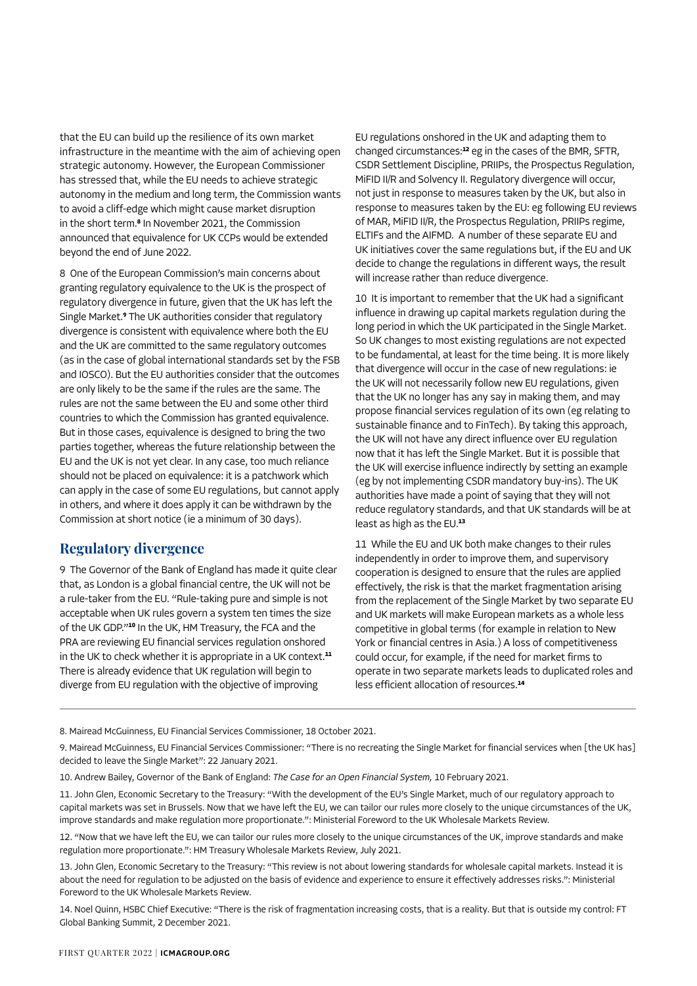that the EU can build up the resilience of its own market infrastructure in the meantime with the aim of achieving open strategic autonomy. However, the European Commissioner has stressed that, while the EU needs to achieve strategic autonomy in the medium and long term, the Commission wants to avoid a cliff-edge which might cause market disruption in the short term.**<sup>8</sup>** In November 2021, the Commission announced that equivalence for UK CCPs would be extended beyond the end of June 2022.

8 One of the European Commission's main concerns about granting regulatory equivalence to the UK is the prospect of regulatory divergence in future, given that the UK has left the Single Market.**<sup>9</sup>** The UK authorities consider that regulatory divergence is consistent with equivalence where both the EU and the UK are committed to the same regulatory outcomes (as in the case of global international standards set by the FSB and IOSCO). But the EU authorities consider that the outcomes are only likely to be the same if the rules are the same. The rules are not the same between the EU and some other third countries to which the Commission has granted equivalence. But in those cases, equivalence is designed to bring the two parties together, whereas the future relationship between the EU and the UK is not yet clear. In any case, too much reliance should not be placed on equivalence: it is a patchwork which can apply in the case of some EU regulations, but cannot apply in others, and where it does apply it can be withdrawn by the Commission at short notice (ie a minimum of 30 days).

### **Regulatory divergence**

9 The Governor of the Bank of England has made it quite clear that, as London is a global financial centre, the UK will not be a rule-taker from the EU. "Rule-taking pure and simple is not acceptable when UK rules govern a system ten times the size of the UK GDP."**<sup>10</sup>** In the UK, HM Treasury, the FCA and the PRA are reviewing EU financial services regulation onshored in the UK to check whether it is appropriate in a UK context.**<sup>11</sup>** There is already evidence that UK regulation will begin to diverge from EU regulation with the objective of improving

EU regulations onshored in the UK and adapting them to changed circumstances:**<sup>12</sup>** eg in the cases of the BMR, SFTR, CSDR Settlement Discipline, PRIIPs, the Prospectus Regulation, MiFID II/R and Solvency II. Regulatory divergence will occur, not just in response to measures taken by the UK, but also in response to measures taken by the EU: eg following EU reviews of MAR, MiFID II/R, the Prospectus Regulation, PRIIPs regime, ELTIFs and the AIFMD. A number of these separate EU and UK initiatives cover the same regulations but, if the EU and UK decide to change the regulations in different ways, the result will increase rather than reduce divergence.

10 It is important to remember that the UK had a significant influence in drawing up capital markets regulation during the long period in which the UK participated in the Single Market. So UK changes to most existing regulations are not expected to be fundamental, at least for the time being. It is more likely that divergence will occur in the case of new regulations: ie the UK will not necessarily follow new EU regulations, given that the UK no longer has any say in making them, and may propose financial services regulation of its own (eg relating to sustainable finance and to FinTech). By taking this approach, the UK will not have any direct influence over EU regulation now that it has left the Single Market. But it is possible that the UK will exercise influence indirectly by setting an example (eg by not implementing CSDR mandatory buy-ins). The UK authorities have made a point of saying that they will not reduce regulatory standards, and that UK standards will be at least as high as the EU.**<sup>13</sup>**

11 While the EU and UK both make changes to their rules independently in order to improve them, and supervisory cooperation is designed to ensure that the rules are applied effectively, the risk is that the market fragmentation arising from the replacement of the Single Market by two separate EU and UK markets will make European markets as a whole less competitive in global terms (for example in relation to New York or financial centres in Asia.) A loss of competitiveness could occur, for example, if the need for market firms to operate in two separate markets leads to duplicated roles and less efficient allocation of resources.**<sup>14</sup>**

8. Mairead McGuinness, EU Financial Services Commissioner, 18 October 2021.

10. Andrew Bailey, Governor of the Bank of England: *The Case for an Open Financial System,* 10 February 2021.

11. John Glen, Economic Secretary to the Treasury: "With the development of the EU's Single Market, much of our regulatory approach to capital markets was set in Brussels. Now that we have left the EU, we can tailor our rules more closely to the unique circumstances of the UK, improve standards and make regulation more proportionate.": Ministerial Foreword to the UK Wholesale Markets Review.

12. "Now that we have left the EU, we can tailor our rules more closely to the unique circumstances of the UK, improve standards and make regulation more proportionate.": HM Treasury Wholesale Markets Review, July 2021.

13. John Glen, Economic Secretary to the Treasury: "This review is not about lowering standards for wholesale capital markets. Instead it is about the need for regulation to be adjusted on the basis of evidence and experience to ensure it effectively addresses risks.": Ministerial Foreword to the UK Wholesale Markets Review.

14. Noel Quinn, HSBC Chief Executive: "There is the risk of fragmentation increasing costs, that is a reality. But that is outside my control: FT Global Banking Summit, 2 December 2021.

<sup>9.</sup> Mairead McGuinness, EU Financial Services Commissioner: "There is no recreating the Single Market for financial services when [the UK has] decided to leave the Single Market": 22 January 2021.